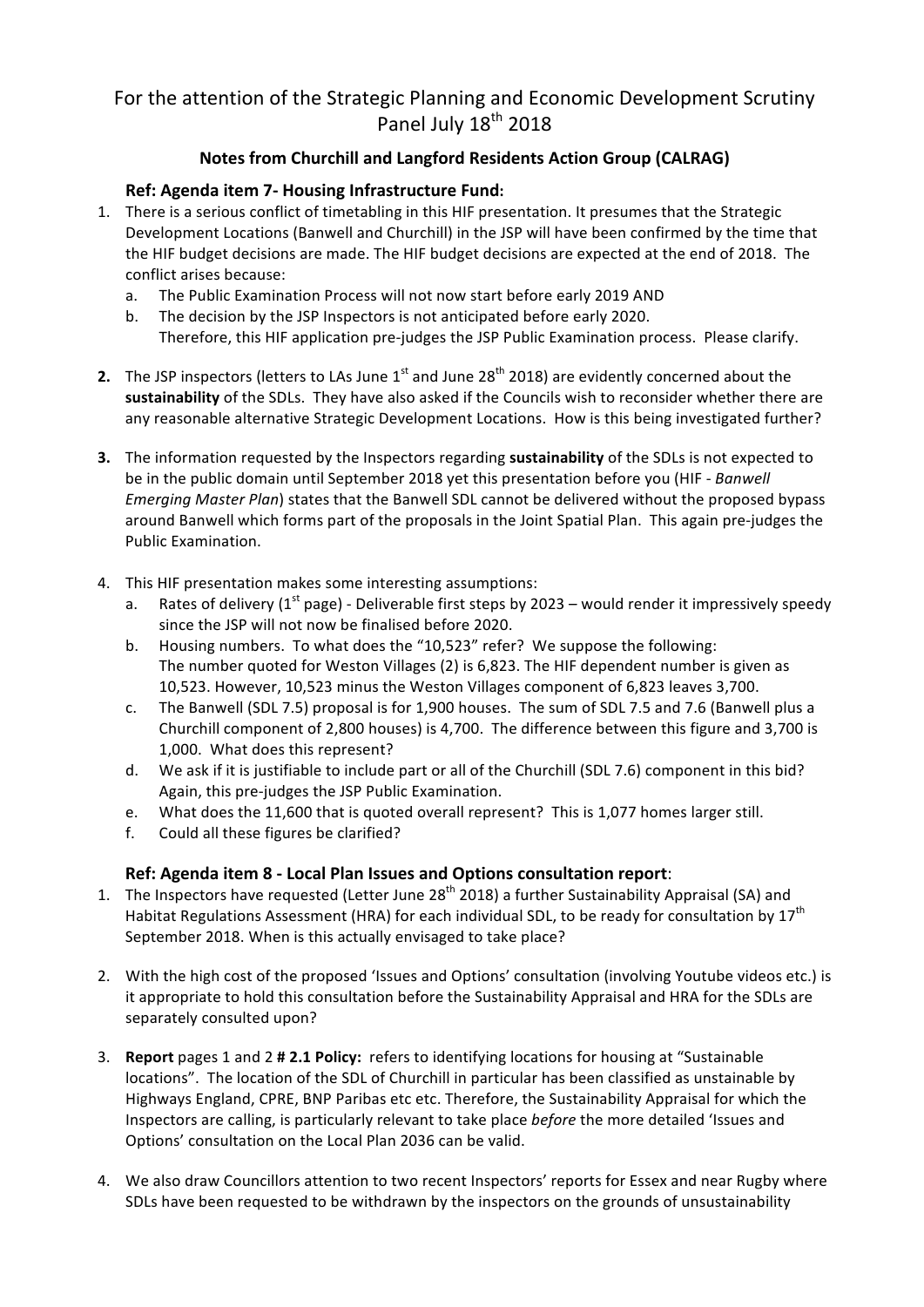## For the attention of the Strategic Planning and Economic Development Scrutiny Panel July 18<sup>th</sup> 2018

## **Notes from Churchill and Langford Residents Action Group (CALRAG)**

## **Ref: Agenda item 7- Housing Infrastructure Fund:**

- 1. There is a serious conflict of timetabling in this HIF presentation. It presumes that the Strategic Development Locations (Banwell and Churchill) in the JSP will have been confirmed by the time that the HIF budget decisions are made. The HIF budget decisions are expected at the end of 2018. The conflict arises because:
	- a. The Public Examination Process will not now start before early 2019 AND
	- b. The decision by the JSP Inspectors is not anticipated before early 2020. Therefore, this HIF application pre-judges the JSP Public Examination process. Please clarify.
- **2.** The JSP inspectors (letters to LAs June  $1^{st}$  and June  $28^{th}$  2018) are evidently concerned about the sustainability of the SDLs. They have also asked if the Councils wish to reconsider whether there are any reasonable alternative Strategic Development Locations. How is this being investigated further?
- **3.** The information requested by the Inspectors regarding **sustainability** of the SDLs is not expected to be in the public domain until September 2018 yet this presentation before you (HIF - Banwell *Emerging Master Plan*) states that the Banwell SDL cannot be delivered without the proposed bypass around Banwell which forms part of the proposals in the Joint Spatial Plan. This again pre-judges the Public Examination.
- 4. This HIF presentation makes some interesting assumptions:
	- a. Rates of delivery ( $1^{st}$  page) Deliverable first steps by 2023 would render it impressively speedy since the JSP will not now be finalised before 2020.
	- b. Housing numbers. To what does the "10,523" refer? We suppose the following: The number quoted for Weston Villages (2) is 6,823. The HIF dependent number is given as 10,523. However, 10,523 minus the Weston Villages component of 6,823 leaves 3,700.
	- c. The Banwell (SDL 7.5) proposal is for 1,900 houses. The sum of SDL 7.5 and 7.6 (Banwell plus a Churchill component of 2,800 houses) is 4,700. The difference between this figure and 3,700 is 1,000. What does this represent?
	- d. We ask if it is justifiable to include part or all of the Churchill (SDL 7.6) component in this bid? Again, this pre-judges the JSP Public Examination.
	- e. What does the 11,600 that is quoted overall represent? This is 1,077 homes larger still.
	- f. Could all these figures be clarified?

## **Ref: Agenda item 8 - Local Plan Issues and Options consultation report**:

- 1. The Inspectors have requested (Letter June 28<sup>th</sup> 2018) a further Sustainability Appraisal (SA) and Habitat Regulations Assessment (HRA) for each individual SDL, to be ready for consultation by  $17^{th}$ September 2018. When is this actually envisaged to take place?
- 2. With the high cost of the proposed 'Issues and Options' consultation (involving Youtube videos etc.) is it appropriate to hold this consultation before the Sustainability Appraisal and HRA for the SDLs are separately consulted upon?
- 3. **Report** pages 1 and 2 **# 2.1 Policy:** refers to identifying locations for housing at "Sustainable" locations". The location of the SDL of Churchill in particular has been classified as unstainable by Highways England, CPRE, BNP Paribas etc etc. Therefore, the Sustainability Appraisal for which the Inspectors are calling, is particularly relevant to take place *before* the more detailed 'Issues and Options' consultation on the Local Plan 2036 can be valid.
- 4. We also draw Councillors attention to two recent Inspectors' reports for Essex and near Rugby where SDLs have been requested to be withdrawn by the inspectors on the grounds of unsustainability